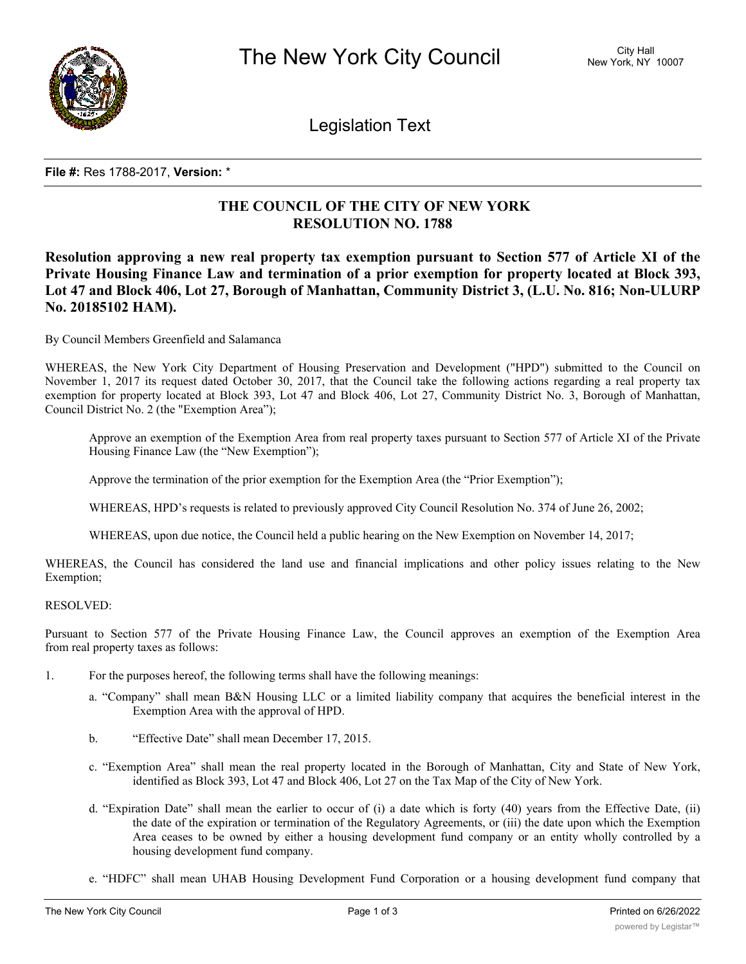

Legislation Text

## **File #:** Res 1788-2017, **Version:** \*

## **THE COUNCIL OF THE CITY OF NEW YORK RESOLUTION NO. 1788**

**Resolution approving a new real property tax exemption pursuant to Section 577 of Article XI of the Private Housing Finance Law and termination of a prior exemption for property located at Block 393, Lot 47 and Block 406, Lot 27, Borough of Manhattan, Community District 3, (L.U. No. 816; Non-ULURP No. 20185102 HAM).**

By Council Members Greenfield and Salamanca

WHEREAS, the New York City Department of Housing Preservation and Development ("HPD") submitted to the Council on November 1, 2017 its request dated October 30, 2017, that the Council take the following actions regarding a real property tax exemption for property located at Block 393, Lot 47 and Block 406, Lot 27, Community District No. 3, Borough of Manhattan, Council District No. 2 (the "Exemption Area");

Approve an exemption of the Exemption Area from real property taxes pursuant to Section 577 of Article XI of the Private Housing Finance Law (the "New Exemption");

Approve the termination of the prior exemption for the Exemption Area (the "Prior Exemption");

WHEREAS, HPD's requests is related to previously approved City Council Resolution No. 374 of June 26, 2002;

WHEREAS, upon due notice, the Council held a public hearing on the New Exemption on November 14, 2017;

WHEREAS, the Council has considered the land use and financial implications and other policy issues relating to the New Exemption;

## RESOLVED:

Pursuant to Section 577 of the Private Housing Finance Law, the Council approves an exemption of the Exemption Area from real property taxes as follows:

- 1. For the purposes hereof, the following terms shall have the following meanings:
	- a. "Company" shall mean B&N Housing LLC or a limited liability company that acquires the beneficial interest in the Exemption Area with the approval of HPD.
	- b. "Effective Date" shall mean December 17, 2015.
	- c. "Exemption Area" shall mean the real property located in the Borough of Manhattan, City and State of New York, identified as Block 393, Lot 47 and Block 406, Lot 27 on the Tax Map of the City of New York.
	- d. "Expiration Date" shall mean the earlier to occur of (i) a date which is forty (40) years from the Effective Date, (ii) the date of the expiration or termination of the Regulatory Agreements, or (iii) the date upon which the Exemption Area ceases to be owned by either a housing development fund company or an entity wholly controlled by a housing development fund company.
	- e. "HDFC" shall mean UHAB Housing Development Fund Corporation or a housing development fund company that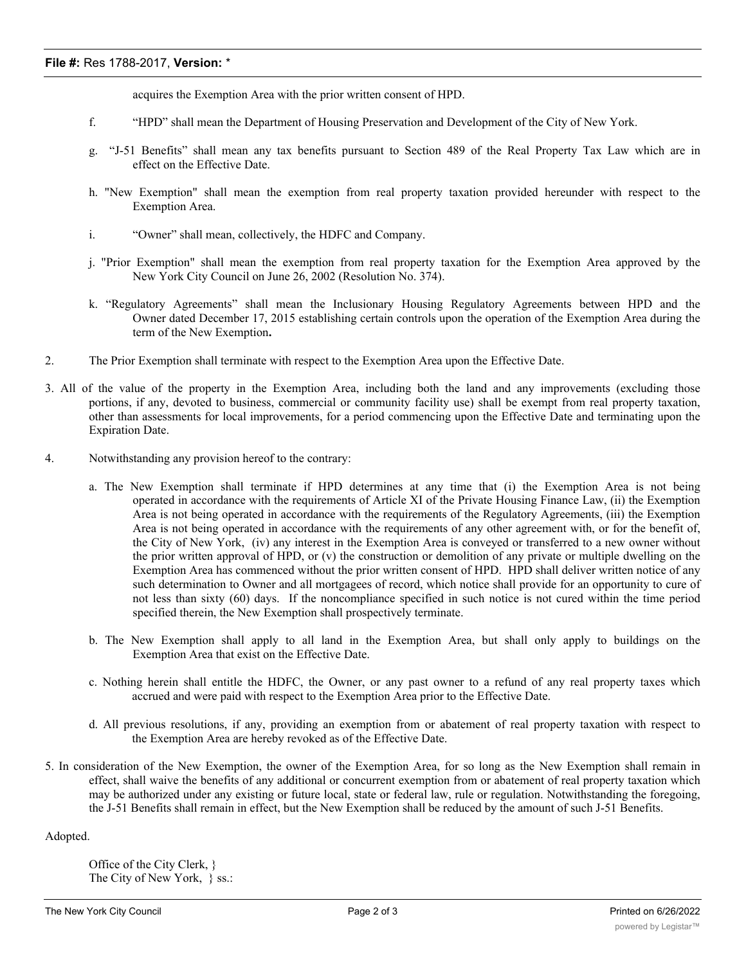## **File #:** Res 1788-2017, **Version:** \*

acquires the Exemption Area with the prior written consent of HPD.

- f. "HPD" shall mean the Department of Housing Preservation and Development of the City of New York.
- g. "J-51 Benefits" shall mean any tax benefits pursuant to Section 489 of the Real Property Tax Law which are in effect on the Effective Date.
- h. "New Exemption" shall mean the exemption from real property taxation provided hereunder with respect to the Exemption Area.
- i. "Owner" shall mean, collectively, the HDFC and Company.
- j. "Prior Exemption" shall mean the exemption from real property taxation for the Exemption Area approved by the New York City Council on June 26, 2002 (Resolution No. 374).
- k. "Regulatory Agreements" shall mean the Inclusionary Housing Regulatory Agreements between HPD and the Owner dated December 17, 2015 establishing certain controls upon the operation of the Exemption Area during the term of the New Exemption**.**
- 2. The Prior Exemption shall terminate with respect to the Exemption Area upon the Effective Date.
- 3. All of the value of the property in the Exemption Area, including both the land and any improvements (excluding those portions, if any, devoted to business, commercial or community facility use) shall be exempt from real property taxation, other than assessments for local improvements, for a period commencing upon the Effective Date and terminating upon the Expiration Date.
- 4. Notwithstanding any provision hereof to the contrary:
	- a. The New Exemption shall terminate if HPD determines at any time that (i) the Exemption Area is not being operated in accordance with the requirements of Article XI of the Private Housing Finance Law, (ii) the Exemption Area is not being operated in accordance with the requirements of the Regulatory Agreements, (iii) the Exemption Area is not being operated in accordance with the requirements of any other agreement with, or for the benefit of, the City of New York, (iv) any interest in the Exemption Area is conveyed or transferred to a new owner without the prior written approval of HPD, or (v) the construction or demolition of any private or multiple dwelling on the Exemption Area has commenced without the prior written consent of HPD. HPD shall deliver written notice of any such determination to Owner and all mortgagees of record, which notice shall provide for an opportunity to cure of not less than sixty (60) days. If the noncompliance specified in such notice is not cured within the time period specified therein, the New Exemption shall prospectively terminate.
	- b. The New Exemption shall apply to all land in the Exemption Area, but shall only apply to buildings on the Exemption Area that exist on the Effective Date.
	- c. Nothing herein shall entitle the HDFC, the Owner, or any past owner to a refund of any real property taxes which accrued and were paid with respect to the Exemption Area prior to the Effective Date.
	- d. All previous resolutions, if any, providing an exemption from or abatement of real property taxation with respect to the Exemption Area are hereby revoked as of the Effective Date.
- 5. In consideration of the New Exemption, the owner of the Exemption Area, for so long as the New Exemption shall remain in effect, shall waive the benefits of any additional or concurrent exemption from or abatement of real property taxation which may be authorized under any existing or future local, state or federal law, rule or regulation. Notwithstanding the foregoing, the J-51 Benefits shall remain in effect, but the New Exemption shall be reduced by the amount of such J-51 Benefits.

Adopted.

Office of the City Clerk, } The City of New York, } ss.: